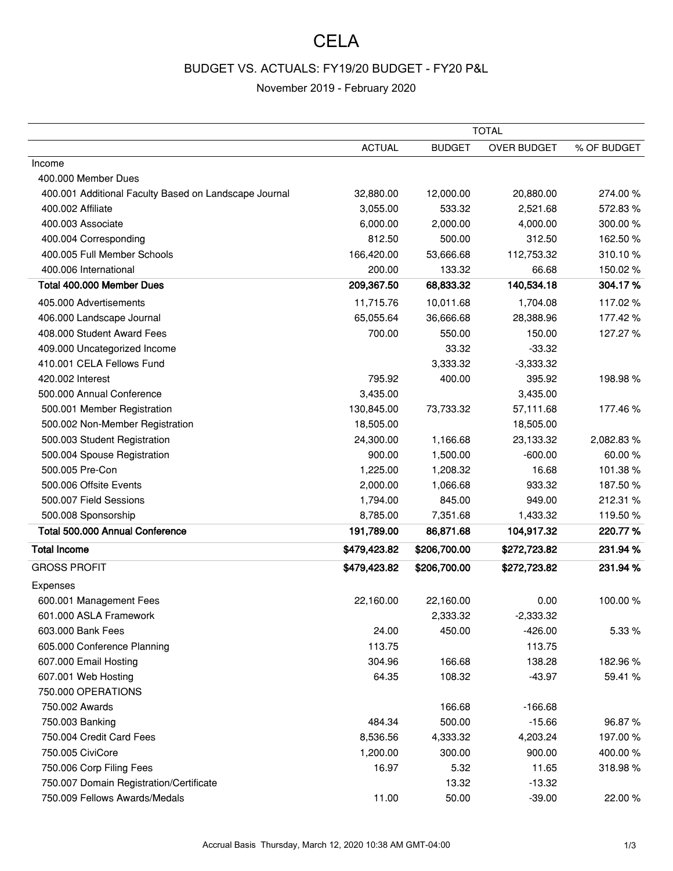## **CELA**

## BUDGET VS. ACTUALS: FY19/20 BUDGET - FY20 P&L

## November 2019 - February 2020

|                                                       | <b>TOTAL</b>  |               |                    |             |
|-------------------------------------------------------|---------------|---------------|--------------------|-------------|
|                                                       | <b>ACTUAL</b> | <b>BUDGET</b> | <b>OVER BUDGET</b> | % OF BUDGET |
| Income                                                |               |               |                    |             |
| 400.000 Member Dues                                   |               |               |                    |             |
| 400.001 Additional Faculty Based on Landscape Journal | 32,880.00     | 12,000.00     | 20,880.00          | 274.00%     |
| 400.002 Affiliate                                     | 3,055.00      | 533.32        | 2,521.68           | 572.83%     |
| 400.003 Associate                                     | 6,000.00      | 2,000.00      | 4,000.00           | 300.00%     |
| 400.004 Corresponding                                 | 812.50        | 500.00        | 312.50             | 162.50%     |
| 400.005 Full Member Schools                           | 166,420.00    | 53,666.68     | 112,753.32         | 310.10%     |
| 400.006 International                                 | 200.00        | 133.32        | 66.68              | 150.02%     |
| Total 400.000 Member Dues                             | 209,367.50    | 68,833.32     | 140,534.18         | 304.17%     |
| 405.000 Advertisements                                | 11,715.76     | 10,011.68     | 1,704.08           | 117.02%     |
| 406.000 Landscape Journal                             | 65,055.64     | 36,666.68     | 28,388.96          | 177.42%     |
| 408.000 Student Award Fees                            | 700.00        | 550.00        | 150.00             | 127.27%     |
| 409.000 Uncategorized Income                          |               | 33.32         | $-33.32$           |             |
| 410.001 CELA Fellows Fund                             |               | 3,333.32      | $-3,333.32$        |             |
| 420.002 Interest                                      | 795.92        | 400.00        | 395.92             | 198.98%     |
| 500.000 Annual Conference                             | 3,435.00      |               | 3,435.00           |             |
| 500.001 Member Registration                           | 130,845.00    | 73,733.32     | 57,111.68          | 177.46 %    |
| 500.002 Non-Member Registration                       | 18,505.00     |               | 18,505.00          |             |
| 500.003 Student Registration                          | 24,300.00     | 1,166.68      | 23,133.32          | 2,082.83%   |
| 500.004 Spouse Registration                           | 900.00        | 1,500.00      | $-600.00$          | 60.00%      |
| 500.005 Pre-Con                                       | 1,225.00      | 1,208.32      | 16.68              | 101.38%     |
| 500.006 Offsite Events                                | 2,000.00      | 1,066.68      | 933.32             | 187.50%     |
| 500.007 Field Sessions                                | 1,794.00      | 845.00        | 949.00             | 212.31 %    |
| 500.008 Sponsorship                                   | 8,785.00      | 7,351.68      | 1,433.32           | 119.50%     |
| Total 500.000 Annual Conference                       | 191,789.00    | 86,871.68     | 104,917.32         | 220.77%     |
| <b>Total Income</b>                                   | \$479,423.82  | \$206,700.00  | \$272,723.82       | 231.94 %    |
| <b>GROSS PROFIT</b>                                   | \$479,423.82  | \$206,700.00  | \$272,723.82       | 231.94 %    |
| Expenses                                              |               |               |                    |             |
| 600.001 Management Fees                               | 22,160.00     | 22,160.00     | 0.00               | 100.00%     |
| 601.000 ASLA Framework                                |               | 2,333.32      | $-2,333.32$        |             |
| 603.000 Bank Fees                                     | 24.00         | 450.00        | $-426.00$          | 5.33 %      |
| 605.000 Conference Planning                           | 113.75        |               | 113.75             |             |
| 607.000 Email Hosting                                 | 304.96        | 166.68        | 138.28             | 182.96%     |
| 607.001 Web Hosting                                   | 64.35         | 108.32        | $-43.97$           | 59.41 %     |
| 750.000 OPERATIONS                                    |               |               |                    |             |
| 750.002 Awards                                        |               | 166.68        | $-166.68$          |             |
| 750.003 Banking                                       | 484.34        | 500.00        | $-15.66$           | 96.87%      |
| 750.004 Credit Card Fees                              | 8,536.56      | 4,333.32      | 4,203.24           | 197.00%     |
| 750.005 CiviCore                                      | 1,200.00      | 300.00        | 900.00             | 400.00%     |
| 750.006 Corp Filing Fees                              | 16.97         | 5.32          | 11.65              | 318.98%     |
| 750.007 Domain Registration/Certificate               |               | 13.32         | $-13.32$           |             |
| 750.009 Fellows Awards/Medals                         | 11.00         | 50.00         | $-39.00$           | 22.00%      |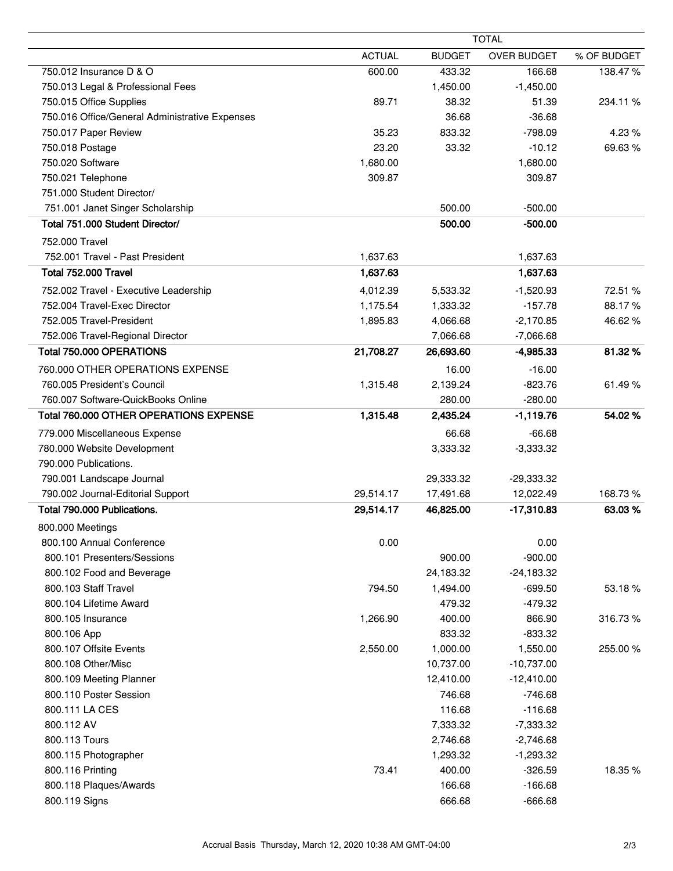|                                                | <b>TOTAL</b>  |               |                    |             |
|------------------------------------------------|---------------|---------------|--------------------|-------------|
|                                                | <b>ACTUAL</b> | <b>BUDGET</b> | <b>OVER BUDGET</b> | % OF BUDGET |
| 750.012 Insurance D & O                        | 600.00        | 433.32        | 166.68             | 138.47%     |
| 750.013 Legal & Professional Fees              |               | 1,450.00      | $-1,450.00$        |             |
| 750.015 Office Supplies                        | 89.71         | 38.32         | 51.39              | 234.11 %    |
| 750.016 Office/General Administrative Expenses |               | 36.68         | $-36.68$           |             |
| 750.017 Paper Review                           | 35.23         | 833.32        | $-798.09$          | 4.23 %      |
| 750.018 Postage                                | 23.20         | 33.32         | $-10.12$           | 69.63%      |
| 750.020 Software                               | 1,680.00      |               | 1,680.00           |             |
| 750.021 Telephone                              | 309.87        |               | 309.87             |             |
| 751.000 Student Director/                      |               |               |                    |             |
| 751.001 Janet Singer Scholarship               |               | 500.00        | $-500.00$          |             |
| Total 751.000 Student Director/                |               | 500.00        | $-500.00$          |             |
| 752.000 Travel                                 |               |               |                    |             |
| 752.001 Travel - Past President                | 1,637.63      |               | 1,637.63           |             |
| Total 752,000 Travel                           | 1,637.63      |               | 1,637.63           |             |
| 752.002 Travel - Executive Leadership          | 4,012.39      | 5,533.32      | $-1,520.93$        | 72.51 %     |
| 752.004 Travel-Exec Director                   | 1,175.54      | 1,333.32      | $-157.78$          | 88.17%      |
| 752.005 Travel-President                       | 1,895.83      | 4,066.68      | $-2,170.85$        | 46.62%      |
| 752.006 Travel-Regional Director               |               | 7,066.68      | $-7,066.68$        |             |
| Total 750.000 OPERATIONS                       | 21,708.27     | 26,693.60     | $-4,985.33$        | 81.32%      |
| 760.000 OTHER OPERATIONS EXPENSE               |               | 16.00         | $-16.00$           |             |
| 760.005 President's Council                    | 1,315.48      | 2,139.24      | $-823.76$          | 61.49%      |
| 760.007 Software-QuickBooks Online             |               | 280.00        | $-280.00$          |             |
| Total 760.000 OTHER OPERATIONS EXPENSE         | 1,315.48      | 2,435.24      | $-1,119.76$        | 54.02%      |
| 779.000 Miscellaneous Expense                  |               | 66.68         | $-66.68$           |             |
| 780.000 Website Development                    |               | 3,333.32      | $-3,333.32$        |             |
| 790.000 Publications.                          |               |               |                    |             |
| 790.001 Landscape Journal                      |               | 29,333.32     | $-29,333.32$       |             |
| 790.002 Journal-Editorial Support              | 29,514.17     | 17,491.68     | 12,022.49          | 168.73%     |
| Total 790.000 Publications.                    | 29,514.17     | 46,825.00     | $-17,310.83$       | 63.03%      |
| 800.000 Meetings                               |               |               |                    |             |
| 800.100 Annual Conference                      | 0.00          |               | 0.00               |             |
| 800.101 Presenters/Sessions                    |               | 900.00        | $-900.00$          |             |
| 800.102 Food and Beverage                      |               | 24,183.32     | $-24,183.32$       |             |
| 800.103 Staff Travel                           | 794.50        | 1,494.00      | $-699.50$          | 53.18%      |
| 800.104 Lifetime Award                         |               | 479.32        | $-479.32$          |             |
| 800.105 Insurance                              | 1,266.90      | 400.00        | 866.90             | 316.73%     |
| 800.106 App                                    |               | 833.32        | $-833.32$          |             |
| 800.107 Offsite Events                         | 2,550.00      | 1,000.00      | 1,550.00           | 255.00 %    |
| 800.108 Other/Misc                             |               | 10,737.00     | $-10,737.00$       |             |
| 800.109 Meeting Planner                        |               | 12,410.00     | $-12,410.00$       |             |
| 800.110 Poster Session                         |               | 746.68        | $-746.68$          |             |
| 800.111 LA CES                                 |               | 116.68        | $-116.68$          |             |
| 800.112 AV                                     |               | 7,333.32      | $-7,333.32$        |             |
| 800.113 Tours                                  |               | 2,746.68      | $-2,746.68$        |             |
| 800.115 Photographer                           |               | 1,293.32      | $-1,293.32$        |             |
| 800.116 Printing                               | 73.41         | 400.00        | $-326.59$          | 18.35%      |
| 800.118 Plaques/Awards                         |               | 166.68        | $-166.68$          |             |
| 800.119 Signs                                  |               | 666.68        | $-666.68$          |             |